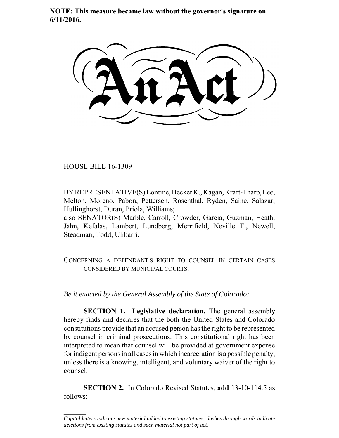**NOTE: This measure became law without the governor's signature on 6/11/2016.**

HOUSE BILL 16-1309

 $\frac{1}{2}$ 

BY REPRESENTATIVE(S) Lontine, Becker K., Kagan, Kraft-Tharp, Lee, Melton, Moreno, Pabon, Pettersen, Rosenthal, Ryden, Saine, Salazar, Hullinghorst, Duran, Priola, Williams;

also SENATOR(S) Marble, Carroll, Crowder, Garcia, Guzman, Heath, Jahn, Kefalas, Lambert, Lundberg, Merrifield, Neville T., Newell, Steadman, Todd, Ulibarri.

CONCERNING A DEFENDANT'S RIGHT TO COUNSEL IN CERTAIN CASES CONSIDERED BY MUNICIPAL COURTS.

*Be it enacted by the General Assembly of the State of Colorado:*

**SECTION 1. Legislative declaration.** The general assembly hereby finds and declares that the both the United States and Colorado constitutions provide that an accused person has the right to be represented by counsel in criminal prosecutions. This constitutional right has been interpreted to mean that counsel will be provided at government expense for indigent persons in all cases in which incarceration is a possible penalty, unless there is a knowing, intelligent, and voluntary waiver of the right to counsel.

**SECTION 2.** In Colorado Revised Statutes, **add** 13-10-114.5 as follows:

*Capital letters indicate new material added to existing statutes; dashes through words indicate deletions from existing statutes and such material not part of act.*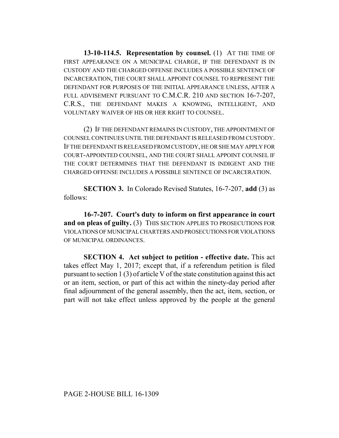**13-10-114.5. Representation by counsel.** (1) AT THE TIME OF FIRST APPEARANCE ON A MUNICIPAL CHARGE, IF THE DEFENDANT IS IN CUSTODY AND THE CHARGED OFFENSE INCLUDES A POSSIBLE SENTENCE OF INCARCERATION, THE COURT SHALL APPOINT COUNSEL TO REPRESENT THE DEFENDANT FOR PURPOSES OF THE INITIAL APPEARANCE UNLESS, AFTER A FULL ADVISEMENT PURSUANT TO C.M.C.R. 210 AND SECTION 16-7-207, C.R.S., THE DEFENDANT MAKES A KNOWING, INTELLIGENT, AND VOLUNTARY WAIVER OF HIS OR HER RIGHT TO COUNSEL.

(2) IF THE DEFENDANT REMAINS IN CUSTODY, THE APPOINTMENT OF COUNSEL CONTINUES UNTIL THE DEFENDANT IS RELEASED FROM CUSTODY. IF THE DEFENDANT IS RELEASED FROM CUSTODY, HE OR SHE MAY APPLY FOR COURT-APPOINTED COUNSEL, AND THE COURT SHALL APPOINT COUNSEL IF THE COURT DETERMINES THAT THE DEFENDANT IS INDIGENT AND THE CHARGED OFFENSE INCLUDES A POSSIBLE SENTENCE OF INCARCERATION.

**SECTION 3.** In Colorado Revised Statutes, 16-7-207, **add** (3) as follows:

**16-7-207. Court's duty to inform on first appearance in court** and on pleas of guilty. (3) THIS SECTION APPLIES TO PROSECUTIONS FOR VIOLATIONS OF MUNICIPAL CHARTERS AND PROSECUTIONS FOR VIOLATIONS OF MUNICIPAL ORDINANCES.

**SECTION 4. Act subject to petition - effective date.** This act takes effect May 1, 2017; except that, if a referendum petition is filed pursuant to section 1 (3) of article V of the state constitution against this act or an item, section, or part of this act within the ninety-day period after final adjournment of the general assembly, then the act, item, section, or part will not take effect unless approved by the people at the general